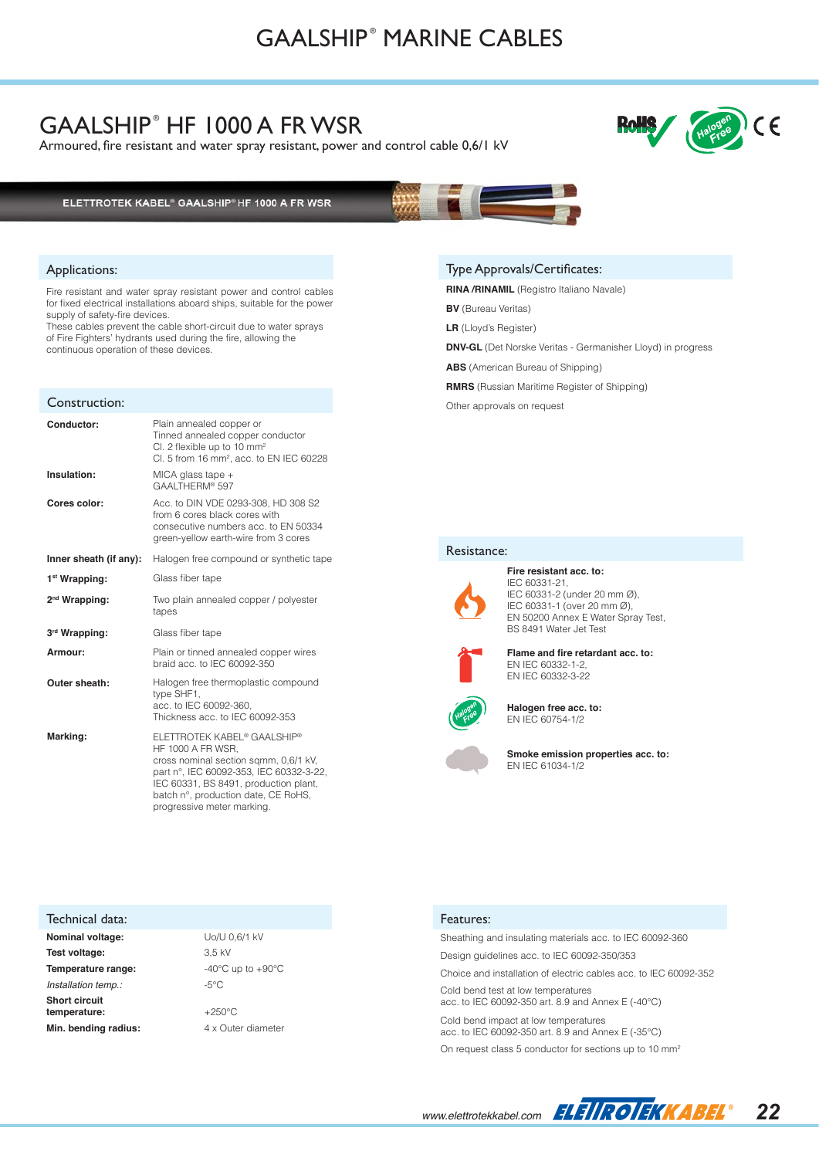### GAALSHIP<sup>®</sup> HF 1000 A FR WSR

Armoured, fire resistant and water spray resistant, power and control cable 0,6/1 kV



### ELETTROTEK KABEL® GAALSHIP®HF 1000 A FR WSR

#### Applications:

Fire resistant and water spray resistant power and control cables for fixed electrical installations aboard ships, suitable for the power supply of safety-fire devices.

These cables prevent the cable short-circuit due to water sprays of Fire Fighters' hydrants used during the fire, allowing the continuous operation of these devices.

|  |  | Construction: |
|--|--|---------------|
|  |  |               |

| Conductor:                | Plain annealed copper or<br>Tinned annealed copper conductor<br>CI. 2 flexible up to 10 mm <sup>2</sup><br>Cl. 5 from 16 mm <sup>2</sup> , acc. to EN IEC 60228                                                                                                            |
|---------------------------|----------------------------------------------------------------------------------------------------------------------------------------------------------------------------------------------------------------------------------------------------------------------------|
| Insulation:               | MICA glass tape $+$<br>GAALTHERM® 597                                                                                                                                                                                                                                      |
| Cores color:              | Acc. to DIN VDE 0293-308, HD 308 S2<br>from 6 cores black cores with<br>consecutive numbers acc. to EN 50334<br>green-yellow earth-wire from 3 cores                                                                                                                       |
| Inner sheath (if any):    | Halogen free compound or synthetic tape                                                                                                                                                                                                                                    |
| 1 <sup>st</sup> Wrapping: | Glass fiber tape                                                                                                                                                                                                                                                           |
| 2 <sup>nd</sup> Wrapping: | Two plain annealed copper / polyester<br>tapes                                                                                                                                                                                                                             |
| 3rd Wrapping:             | Glass fiber tape                                                                                                                                                                                                                                                           |
| Armour:                   | Plain or tinned annealed copper wires<br>braid acc. to IEC 60092-350                                                                                                                                                                                                       |
| Outer sheath:             | Halogen free thermoplastic compound<br>type SHF1,<br>acc. to IEC 60092-360.<br>Thickness acc. to IEC 60092-353                                                                                                                                                             |
| Marking:                  | ELETTROTEK KABEL <sup>®</sup> GAALSHIP <sup>®</sup><br>HF 1000 A FR WSR,<br>cross nominal section sqmm, 0,6/1 kV,<br>part n°, IEC 60092-353, IEC 60332-3-22,<br>IEC 60331, BS 8491, production plant,<br>batch n°, production date, CE RoHS,<br>progressive meter marking. |

### Technical data: **Nominal voltage:** Uo/U 0,6/1 kV **Test voltage:** 3,5 kV **Temperature range:**  $-40^{\circ}$ C up to  $+90^{\circ}$ C *Installation temp.:* 45°C

**Short circuit temperature:** +250°C **Min. bending radius:**  $4 \times$  Outer diameter

#### Type Approvals/Certificates:

**RINA /RINAMIL** (Registro Italiano Navale)

**BV** (Bureau Veritas)

**LR** (Lloyd's Register)

**DNV-GL** (Det Norske Veritas - Germanisher Lloyd) in progress

**ABS** (American Bureau of Shipping)

**RMRS** (Russian Maritime Register of Shipping)

Other approvals on request

#### Resistance:

IEC 60331-21, IEC 60331-2 (under 20 mm Ø), IEC 60331-1 (over 20 mm Ø), EN 50200 Annex E Water Spray Test, BS 8491 Water Jet Test



**Flame and fire retardant acc. to:** EN IEC 60332-1-2, EN IEC 60332-3-22



**Halogen free acc. to:**

EN IEC 60754-1/2

**Fire resistant acc. to:**



**Smoke emission properties acc. to:** EN IEC 61034-1/2

#### Features:

Sheathing and insulating materials acc. to IEC 60092-360 Design guidelines acc. to IEC 60092-350/353 Choice and installation of electric cables acc. to IEC 60092-352 Cold bend test at low temperatures acc. to IEC 60092-350 art. 8.9 and Annex E (-40°C) Cold bend impact at low temperatures acc. to IEC 60092-350 art. 8.9 and Annex E (-35°C)

On request class 5 conductor for sections up to 10 mm<sup>2</sup>

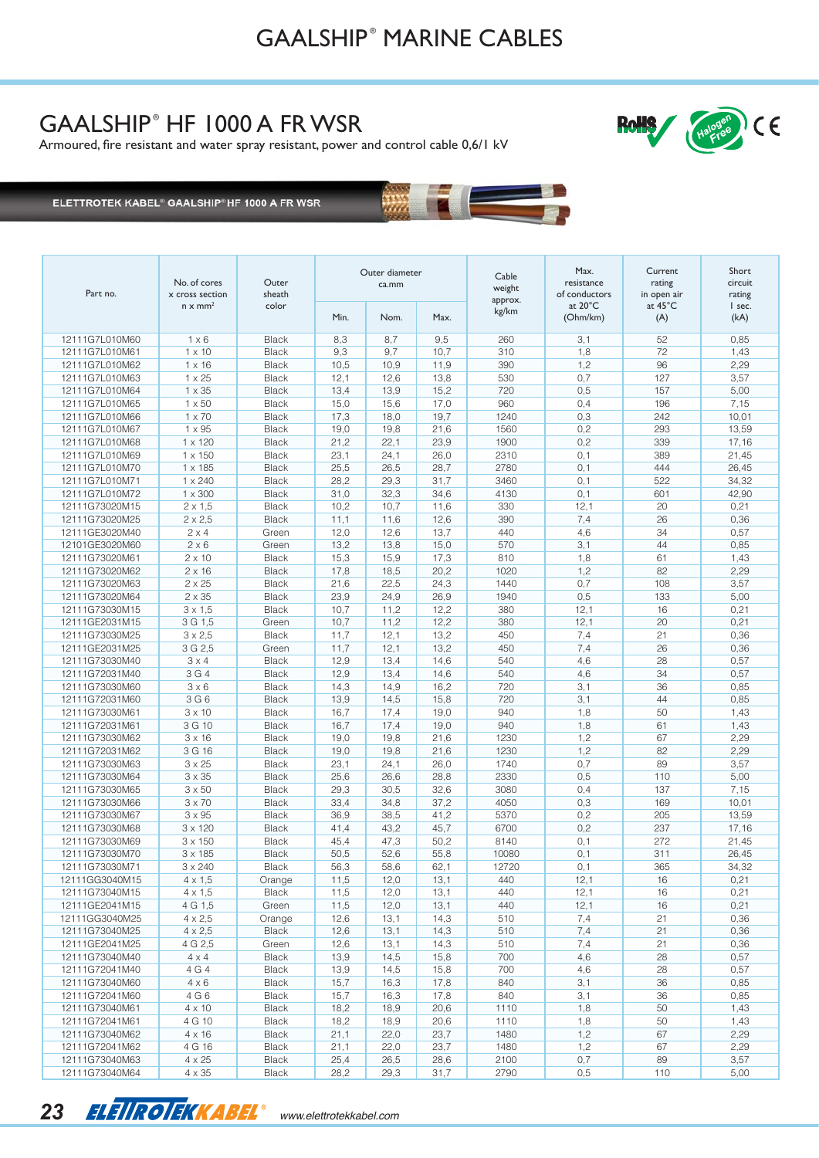# GAALSHIP<sup>®</sup> HF 1000 A FR WSR

Armoured, fire resistant and water spray resistant, power and control cable 0,6/1 kV



ELETTROTEK KABEL® GAALSHIP®HF 1000 A FR WSR

| Part no.                         | No. of cores<br>x cross section<br>$n \times mm^2$ | Outer<br>sheath<br>color | Outer diameter<br>ca.mm |              |              | Cable<br>weight<br>approx. | Max.<br>resistance<br>of conductors | Current<br>rating<br>in open air | Short<br>circuit<br>rating |
|----------------------------------|----------------------------------------------------|--------------------------|-------------------------|--------------|--------------|----------------------------|-------------------------------------|----------------------------------|----------------------------|
|                                  |                                                    |                          | Min.                    | Nom.         | Max.         | kg/km                      | at 20°C<br>(Ohm/km)                 | at 45°C<br>(A)                   | I sec.<br>(kA)             |
| 12111G7L010M60                   | $1 \times 6$                                       | <b>Black</b>             | 8,3                     | 8,7          | 9,5          | 260                        | 3,1                                 | 52                               | 0,85                       |
| 12111G7L010M61                   | $1 \times 10$                                      | <b>Black</b>             | 9,3                     | 9,7          | 10,7         | 310                        | 1,8                                 | 72                               | 1,43                       |
| 12111G7L010M62                   | $1 \times 16$                                      | <b>Black</b>             | 10,5                    | 10,9         | 11,9         | 390                        | 1,2                                 | 96                               | 2,29                       |
| 12111G7L010M63                   | $1 \times 25$                                      | <b>Black</b>             | 12,1                    | 12,6         | 13,8         | 530                        | 0,7                                 | 127                              | 3,57                       |
| 12111G7L010M64                   | $1 \times 35$                                      | Black                    | 13,4                    | 13,9         | 15,2         | 720                        | 0,5                                 | 157                              | 5,00                       |
| 12111G7L010M65                   | $1 \times 50$                                      | <b>Black</b>             | 15,0                    | 15,6         | 17,0         | 960                        | 0,4                                 | 196                              | 7,15                       |
| 12111G7L010M66                   | $1 \times 70$                                      | <b>Black</b>             | 17,3                    | 18,0         | 19,7         | 1240                       | 0,3                                 | 242                              | 10,01                      |
| 12111G7L010M67                   | $1 \times 95$                                      | Black                    | 19,0                    | 19,8         | 21,6         | 1560                       | 0,2                                 | 293                              | 13,59                      |
| 12111G7L010M68                   | $1 \times 120$                                     | <b>Black</b>             | 21,2                    | 22,1         | 23,9         | 1900                       | 0,2                                 | 339                              | 17,16                      |
| 12111G7L010M69                   | $1 \times 150$                                     | Black                    | 23,1                    | 24,1         | 26,0         | 2310                       | 0,1                                 | 389                              | 21,45                      |
| 12111G7L010M70                   | $1 \times 185$                                     | <b>Black</b>             | 25,5                    | 26,5         | 28,7         | 2780                       | 0,1                                 | 444                              | 26,45                      |
| 12111G7L010M71                   | 1 x 240                                            | Black                    | 28,2                    | 29,3         | 31,7         | 3460                       | 0,1                                 | 522                              | 34,32                      |
| 12111G7L010M72                   | $1 \times 300$                                     | Black                    | 31,0                    | 32,3         | 34,6         | 4130                       | 0,1                                 | 601                              | 42,90                      |
| 12111G73020M15                   | $2 \times 1,5$                                     | <b>Black</b>             | 10,2                    | 10,7         | 11,6         | 330                        | 12,1                                | 20                               | 0,21                       |
| 12111G73020M25                   | $2 \times 2,5$                                     | <b>Black</b>             | 11,1                    | 11,6         | 12,6         | 390                        | 7,4                                 | 26                               | 0,36                       |
| 12111GE3020M40                   | $2 \times 4$                                       | Green                    | 12,0                    | 12,6         | 13,7         | 440                        | 4,6                                 | 34                               | 0,57                       |
| 12101GE3020M60                   | $2 \times 6$                                       | Green                    | 13,2                    | 13,8         | 15,0         | 570                        | 3,1                                 | 44                               | 0,85                       |
| 12111G73020M61                   | $2 \times 10$                                      | Black                    | 15,3                    | 15,9         | 17,3         | 810                        | 1,8                                 | 61                               | 1,43                       |
| 12111G73020M62                   | $2 \times 16$                                      | <b>Black</b>             | 17,8                    | 18,5         | 20,2         | 1020                       | 1,2                                 | 82                               | 2,29                       |
| 12111G73020M63                   | $2 \times 25$                                      | Black                    | 21,6                    | 22,5         | 24,3         | 1440                       | 0,7                                 | 108                              | 3,57                       |
| 12111G73020M64                   | $2 \times 35$                                      | <b>Black</b>             | 23,9                    | 24,9         | 26,9         | 1940                       | 0,5                                 | 133                              | 5,00                       |
| 12111G73030M15                   | $3 \times 1,5$                                     | <b>Black</b>             | 10,7                    | 11,2         | 12,2         | 380                        | 12,1                                | 16                               | 0,21                       |
| 12111GE2031M15                   | 3 G 1,5                                            | Green                    | 10,7                    | 11,2         | 12,2         | 380                        | 12,1                                | 20                               | 0,21                       |
| 12111G73030M25                   | $3 \times 2,5$                                     | Black                    | 11,7                    | 12,1         | 13,2         | 450                        | 7,4                                 | 21                               | 0,36                       |
| 12111GE2031M25                   | 3 G 2,5                                            | Green                    | 11,7                    | 12,1         | 13,2         | 450                        | 7,4                                 | 26                               | 0,36                       |
| 12111G73030M40                   | $3 \times 4$                                       | Black                    | 12,9                    | 13,4         | 14,6         | 540                        | 4,6                                 | 28                               | 0,57                       |
| 12111G72031M40                   | 3 G 4                                              | <b>Black</b>             | 12,9                    | 13,4         | 14,6         | 540                        | 4,6                                 | 34                               | 0,57                       |
| 12111G73030M60                   | $3 \times 6$                                       | Black                    | 14,3                    | 14,9         | 16,2         | 720                        | 3,1                                 | 36                               | 0,85                       |
| 12111G72031M60                   | 3 G 6                                              | <b>Black</b>             | 13,9                    | 14,5         | 15,8         | 720                        | 3,1                                 | 44                               | 0,85                       |
| 12111G73030M61                   | $3 \times 10$                                      | Black                    | 16,7                    | 17,4         | 19,0         | 940                        | 1,8                                 | 50                               | 1,43                       |
| 12111G72031M61                   | 3 G 10                                             | <b>Black</b>             | 16,7                    | 17,4         | 19,0         | 940                        | 1,8                                 | 61                               | 1,43                       |
| 12111G73030M62                   | $3 \times 16$                                      | Black                    | 19,0                    | 19,8         | 21,6         | 1230                       | 1,2                                 | 67                               | 2,29                       |
| 12111G72031M62                   | 3 G 16                                             | <b>Black</b>             | 19,0                    | 19,8         | 21,6         | 1230                       | 1,2                                 | 82                               | 2,29                       |
| 12111G73030M63                   | $3 \times 25$                                      | Black                    | 23,1                    | 24,1         | 26,0         | 1740                       | 0,7                                 | 89                               | 3,57                       |
| 12111G73030M64                   | $3 \times 35$                                      | <b>Black</b>             | 25,6                    | 26,6         | 28,8         | 2330                       | 0,5                                 | 110                              | 5,00                       |
| 12111G73030M65                   | $3 \times 50$                                      | Black                    | 29,3                    | 30,5         | 32,6         | 3080                       | 0,4                                 | 137                              | 7,15                       |
| 12111G73030M66                   | $3 \times 70$                                      | <b>Black</b>             | 33,4                    | 34,8         | 37,2         | 4050                       | 0,3                                 | 169                              | 10,01                      |
| 12111G73030M67                   | $3 \times 95$                                      | Black                    | 36,9                    | 38,5         | 41,2         | 5370                       | 0,2                                 | 205                              | 13,59                      |
| 12111G73030M68                   | $3 \times 120$                                     | <b>Black</b>             | 41,4                    | 43,2         | 45,7         | 6700                       | 0,2                                 | 237                              | 17,16                      |
| 12111G73030M69                   | $3 \times 150$                                     | <b>Black</b>             | 45,4                    | 47,3         | 50,2         | 8140                       | 0,1                                 | 272                              | 21,45                      |
| 12111G73030M70                   | $3 \times 185$                                     | <b>Black</b>             | 50,5                    | 52,6         | 55,8         | 10080                      | 0,1                                 | 311                              | 26,45                      |
| 12111G73030M71                   | 3 x 240                                            | <b>Black</b>             | 56,3                    | 58,6         | 62,1         | 12720                      | 0,1                                 | 365                              | 34,32                      |
| 12111GG3040M15                   | $4 \times 1,5$                                     | Orange                   | 11,5                    | 12,0         | 13,1         | 440                        | 12,1                                | 16                               | 0,21                       |
| 12111G73040M15                   | $4 \times 1,5$                                     | Black                    | 11,5                    | 12,0         | 13,1         | 440                        | 12,1                                | 16                               | 0,21                       |
| 12111GE2041M15                   | 4 G 1,5                                            | Green                    | 11,5                    | 12,0         | 13,1         | 440                        | 12,1                                | 16                               | 0,21                       |
| 12111GG3040M25                   | $4 \times 2,5$                                     | Orange                   | 12,6                    | 13,1         | 14,3         | 510                        | 7,4                                 | 21                               | 0,36                       |
| 12111G73040M25                   | $4\times2,5$                                       | <b>Black</b>             | 12,6                    | 13,1         | 14,3         | 510                        | 7,4                                 | 21                               | 0,36                       |
| 12111GE2041M25                   | 4 G 2,5                                            | Green                    | 12,6                    | 13,1         | 14,3         | 510                        | 7,4                                 | 21                               | 0,36                       |
| 12111G73040M40                   | $4 \times 4$                                       | <b>Black</b>             | 13,9                    | 14,5         | 15,8         | 700                        | 4,6                                 | 28                               | 0,57                       |
| 12111G72041M40                   | 4 G 4                                              | Black                    | 13,9                    | 14,5         | 15,8         | 700                        | 4,6                                 | 28                               | 0,57                       |
| 12111G73040M60                   | $4 \times 6$                                       | Black                    | 15,7                    | 16,3         | 17,8         | 840                        | 3,1                                 | 36                               | 0,85                       |
| 12111G72041M60                   | 4 G 6                                              | Black                    | 15,7                    | 16,3         | 17,8         | 840                        | 3,1                                 | 36                               | 0,85                       |
| 12111G73040M61                   | $4 \times 10$                                      | Black                    | 18,2                    | 18,9         | 20,6         | 1110                       | 1,8                                 | 50                               | 1,43                       |
| 12111G72041M61                   | 4 G 10                                             | <b>Black</b>             | 18,2                    | 18,9         | 20,6         | 1110                       | 1,8                                 | 50                               | 1,43                       |
| 12111G73040M62                   | $4 \times 16$                                      | <b>Black</b>             | 21,1                    | 22,0         | 23,7         | 1480                       | 1,2                                 | 67                               | 2,29                       |
| 12111G72041M62                   | 4 G 16                                             | Black                    | 21,1                    | 22,0         | 23,7         | 1480                       | 1,2                                 | 67                               | 2,29                       |
| 12111G73040M63<br>12111G73040M64 | $4 \times 25$<br>$4\times35$                       | <b>Black</b><br>Black    | 25,4<br>28,2            | 26,5<br>29,3 | 28,6<br>31,7 | 2100<br>2790               | 0,7<br>0,5                          | 89<br>110                        | 3,57<br>5,00               |
|                                  |                                                    |                          |                         |              |              |                            |                                     |                                  |                            |



*www.elettrotekkabel.com*